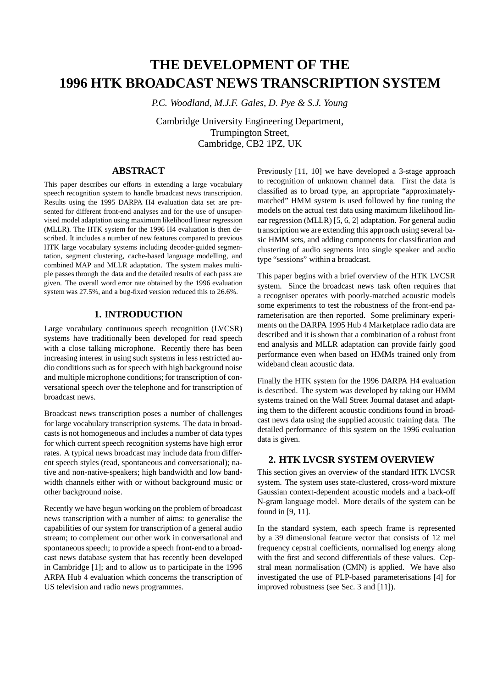# **THE DEVELOPMENT OF THE 1996 HTK BROADCAST NEWS TRANSCRIPTION SYSTEM**

*P.C. Woodland, M.J.F. Gales, D. Pye & S.J. Young*

Cambridge University Engineering Department, Trumpington Street, Cambridge, CB2 1PZ, UK

# **ABSTRACT**

This paper describes our efforts in extending a large vocabulary speech recognition system to handle broadcast news transcription. Results using the 1995 DARPA H4 evaluation data set are presented for different front-end analyses and for the use of unsupervised model adaptation using maximum likelihood linear regression (MLLR). The HTK system for the 1996 H4 evaluation is then described. It includes a number of new features compared to previous HTK large vocabulary systems including decoder-guided segmentation, segment clustering, cache-based language modelling, and combined MAP and MLLR adaptation. The system makes multiple passesthrough the data and the detailed results of each pass are given. The overall word error rate obtained by the 1996 evaluation system was 27.5%, and a bug-fixed version reduced this to 26.6%.

# **1. INTRODUCTION**

Large vocabulary continuous speech recognition (LVCSR) systems have traditionally been developed for read speech with a close talking microphone. Recently there has been increasing interest in using such systems in less restricted audio conditions such as for speech with high background noise and multiple microphone conditions; for transcription of conversational speech over the telephone and for transcription of broadcast news.

Broadcast news transcription poses a number of challenges for large vocabulary transcription systems. The data in broadcasts is not homogeneous and includes a number of data types for which current speech recognition systems have high error rates. A typical news broadcast may include data from different speech styles (read, spontaneous and conversational); native and non-native-speakers; high bandwidth and low bandwidth channels either with or without background music or other background noise.

Recently we have begun working on the problem of broadcast news transcription with a number of aims: to generalise the capabilities of our system for transcription of a general audio stream; to complement our other work in conversational and spontaneous speech; to provide a speech front-end to a broadcast news database system that has recently been developed in Cambridge [1]; and to allow us to participate in the 1996 ARPA Hub 4 evaluation which concerns the transcription of US television and radio news programmes.

Previously [11, 10] we have developed a 3-stage approach to recognition of unknown channel data. First the data is classified as to broad type, an appropriate "approximatelymatched" HMM system is used followed by fine tuning the models on the actual test data using maximum likelihood linear regression (MLLR) [5, 6, 2] adaptation. For general audio transcription we are extending this approach using several basic HMM sets, and adding components for classification and clustering of audio segments into single speaker and audio type "sessions" within a broadcast.

This paper begins with a brief overview of the HTK LVCSR system. Since the broadcast news task often requires that a recogniser operates with poorly-matched acoustic models some experiments to test the robustness of the front-end parameterisation are then reported. Some preliminary experiments on the DARPA 1995 Hub 4 Marketplace radio data are described and it is shown that a combination of a robust front end analysis and MLLR adaptation can provide fairly good performance even when based on HMMs trained only from wideband clean acoustic data.

Finally the HTK system for the 1996 DARPA H4 evaluation is described. The system was developed by taking our HMM systems trained on the Wall Street Journal dataset and adapting them to the different acoustic conditions found in broadcast news data using the supplied acoustic training data. The detailed performance of this system on the 1996 evaluation data is given.

# **2. HTK LVCSR SYSTEM OVERVIEW**

This section gives an overview of the standard HTK LVCSR system. The system uses state-clustered, cross-word mixture Gaussian context-dependent acoustic models and a back-off N-gram language model. More details of the system can be found in [9, 11].

In the standard system, each speech frame is represented by a 39 dimensional feature vector that consists of 12 mel frequency cepstral coefficients, normalised log energy along with the first and second differentials of these values. Cepstral mean normalisation (CMN) is applied. We have also investigated the use of PLP-based parameterisations [4] for improved robustness (see Sec. 3 and [11]).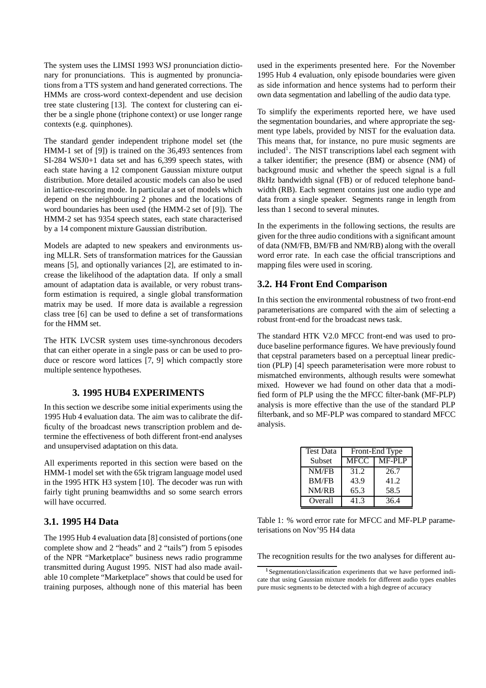The system uses the LIMSI 1993 WSJ pronunciation dictionary for pronunciations. This is augmented by pronunciations from a TTS system and hand generated corrections. The HMMs are cross-word context-dependent and use decision tree state clustering [13]. The context for clustering can either be a single phone (triphone context) or use longer range contexts (e.g. quinphones).

The standard gender independent triphone model set (the HMM-1 set of [9]) is trained on the 36,493 sentences from SI-284 WSJ0+1 data set and has 6,399 speech states, with each state having a 12 component Gaussian mixture output distribution. More detailed acoustic models can also be used in lattice-rescoring mode. In particular a set of models which depend on the neighbouring 2 phones and the locations of word boundaries has been used (the HMM-2 set of [9]). The HMM-2 set has 9354 speech states, each state characterised by a 14 component mixture Gaussian distribution.

Models are adapted to new speakers and environments using MLLR. Sets of transformation matrices for the Gaussian means [5], and optionally variances [2], are estimated to increase the likelihood of the adaptation data. If only a small amount of adaptation data is available, or very robust transform estimation is required, a single global transformation matrix may be used. If more data is available a regression class tree [6] can be used to define a set of transformations for the HMM set.

The HTK LVCSR system uses time-synchronous decoders that can either operate in a single pass or can be used to produce or rescore word lattices [7, 9] which compactly store multiple sentence hypotheses.

# **3. 1995 HUB4 EXPERIMENTS**

In this section we describe some initial experiments using the 1995 Hub 4 evaluation data. The aim was to calibrate the difficulty of the broadcast news transcription problem and determine the effectiveness of both different front-end analyses and unsupervised adaptation on this data.

All experiments reported in this section were based on the HMM-1 model set with the 65k trigram language model used in the 1995 HTK H3 system [10]. The decoder was run with fairly tight pruning beamwidths and so some search errors will have occurred.

## **3.1. 1995 H4 Data**

The 1995 Hub 4 evaluation data [8] consisted of portions(one complete show and 2 "heads" and 2 "tails") from 5 episodes of the NPR "Marketplace" business news radio programme transmitted during August 1995. NIST had also made available 10 complete "Marketplace" shows that could be used for training purposes, although none of this material has been

used in the experiments presented here. For the November 1995 Hub 4 evaluation, only episode boundaries were given as side information and hence systems had to perform their own data segmentation and labelling of the audio data type.

To simplify the experiments reported here, we have used the segmentation boundaries, and where appropriate the segment type labels, provided by NIST for the evaluation data. This means that, for instance, no pure music segments are included<sup>1</sup>. The NIST transcriptions label each segment with a talker identifier; the presence (BM) or absence (NM) of background music and whether the speech signal is a full 8kHz bandwidth signal (FB) or of reduced telephone bandwidth (RB). Each segment contains just one audio type and data from a single speaker. Segments range in length from less than 1 second to several minutes.

In the experiments in the following sections, the results are given for the three audio conditions with a significant amount of data (NM/FB, BM/FB and NM/RB) along with the overall word error rate. In each case the official transcriptions and mapping files were used in scoring.

# **3.2. H4 Front End Comparison**

In this section the environmental robustness of two front-end parameterisations are compared with the aim of selecting a robust front-end for the broadcast news task.

The standard HTK V2.0 MFCC front-end was used to produce baseline performance figures. We have previously found that cepstral parameters based on a perceptual linear prediction (PLP) [4] speech parameterisation were more robust to mismatched environments, although results were somewhat mixed. However we had found on other data that a modified form of PLP using the the MFCC filter-bank (MF-PLP) analysis is more effective than the use of the standard PLP filterbank, and so MF-PLP was compared to standard MFCC analysis.

| <b>Test Data</b> | Front-End Type |               |  |  |  |  |
|------------------|----------------|---------------|--|--|--|--|
| Subset           | MFCC           | <b>MF-PLP</b> |  |  |  |  |
| NM/FB            | 31.2           | 26.7          |  |  |  |  |
| <b>BM/FB</b>     | 43.9           | 41.2          |  |  |  |  |
| NM/RB            | 65.3           | 58.5          |  |  |  |  |
| Overall          | 41.3           | 36.4          |  |  |  |  |

Table 1: % word error rate for MFCC and MF-PLP parameterisations on Nov'95 H4 data

The recognition results for the two analyses for different au-

<sup>&</sup>lt;sup>1</sup> Segmentation/classification experiments that we have performed indicate that using Gaussian mixture models for different audio types enables pure music segments to be detected with a high degree of accuracy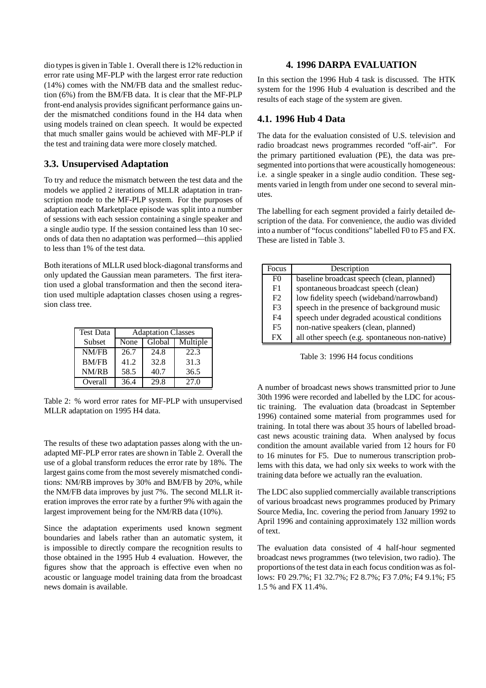dio types is given in Table 1. Overall there is 12% reduction in error rate using MF-PLP with the largest error rate reduction (14%) comes with the NM/FB data and the smallest reduction (6%) from the BM/FB data. It is clear that the MF-PLP front-end analysis provides significant performance gains under the mismatched conditions found in the H4 data when using models trained on clean speech. It would be expected that much smaller gains would be achieved with MF-PLP if the test and training data were more closely matched.

# **3.3. Unsupervised Adaptation**

To try and reduce the mismatch between the test data and the models we applied 2 iterations of MLLR adaptation in transcription mode to the MF-PLP system. For the purposes of adaptation each Marketplace episode was split into a number of sessions with each session containing a single speaker and a single audio type. If the session contained less than 10 seconds of data then no adaptation was performed—this applied to less than 1% of the test data.

Both iterations of MLLR used block-diagonal transforms and only updated the Gaussian mean parameters. The first iteration used a global transformation and then the second iteration used multiple adaptation classes chosen using a regression class tree.

| <b>Test Data</b> | <b>Adaptation Classes</b> |        |          |  |  |  |  |
|------------------|---------------------------|--------|----------|--|--|--|--|
| Subset           | None                      | Global | Multiple |  |  |  |  |
| NM/FB            | 26.7                      | 24.8   | 22.3     |  |  |  |  |
| <b>BM/FB</b>     | 41.2                      | 32.8   | 31.3     |  |  |  |  |
| NM/RB            | 58.5                      | 40.7   | 36.5     |  |  |  |  |
| Overall          | 36.4                      | 29.8   | 27.0     |  |  |  |  |

Table 2: % word error rates for MF-PLP with unsupervised MLLR adaptation on 1995 H4 data.

The results of these two adaptation passes along with the unadapted MF-PLP error rates are shown in Table 2. Overall the use of a global transform reduces the error rate by 18%. The largest gains come from the most severely mismatched conditions: NM/RB improves by 30% and BM/FB by 20%, while the NM/FB data improves by just 7%. The second MLLR iteration improves the error rate by a further 9% with again the largest improvement being for the NM/RB data (10%).

Since the adaptation experiments used known segment boundaries and labels rather than an automatic system, it is impossible to directly compare the recognition results to those obtained in the 1995 Hub 4 evaluation. However, the figures show that the approach is effective even when no acoustic or language model training data from the broadcast news domain is available.

# **4. 1996 DARPA EVALUATION**

In this section the 1996 Hub 4 task is discussed. The HTK system for the 1996 Hub 4 evaluation is described and the results of each stage of the system are given.

# **4.1. 1996 Hub 4 Data**

The data for the evaluation consisted of U.S. television and radio broadcast news programmes recorded "off-air". For the primary partitioned evaluation (PE), the data was presegmented into portions that were acoustically homogeneous: i.e. a single speaker in a single audio condition. These segments varied in length from under one second to several minutes.

The labelling for each segment provided a fairly detailed description of the data. For convenience, the audio was divided into a number of "focus conditions" labelled F0 to F5 and FX. These are listed in Table 3.

| Focus          | Description                                    |
|----------------|------------------------------------------------|
| F <sub>0</sub> | baseline broadcast speech (clean, planned)     |
| F1             | spontaneous broadcast speech (clean)           |
| F2             | low fidelity speech (wideband/narrowband)      |
| F <sub>3</sub> | speech in the presence of background music     |
| F4             | speech under degraded acoustical conditions    |
| F5             | non-native speakers (clean, planned)           |
| FX             | all other speech (e.g. spontaneous non-native) |



A number of broadcast news shows transmitted prior to June 30th 1996 were recorded and labelled by the LDC for acoustic training. The evaluation data (broadcast in September 1996) contained some material from programmes used for training. In total there was about 35 hours of labelled broadcast news acoustic training data. When analysed by focus condition the amount available varied from 12 hours for F0 to 16 minutes for F5. Due to numerous transcription problems with this data, we had only six weeks to work with the training data before we actually ran the evaluation.

The LDC also supplied commercially available transcriptions of various broadcast news programmes produced by Primary Source Media, Inc. covering the period from January 1992 to April 1996 and containing approximately 132 million words of text.

The evaluation data consisted of 4 half-hour segmented broadcast news programmes (two television, two radio). The proportions of the test data in each focus condition was as follows: F0 29.7%; F1 32.7%; F2 8.7%; F3 7.0%; F4 9.1%; F5 1.5 % and FX 11.4%.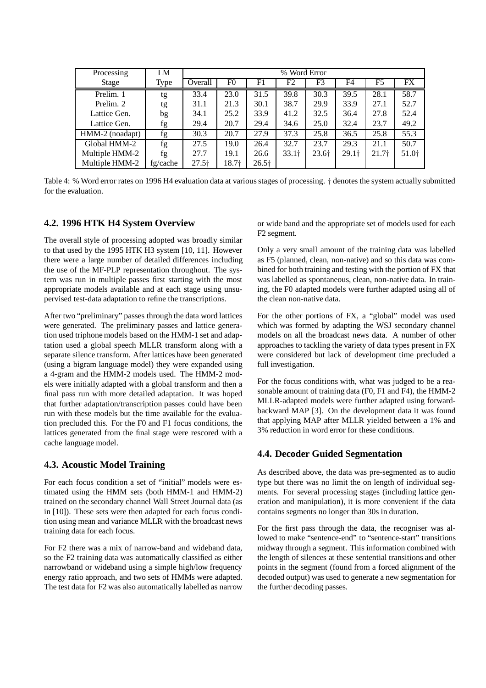| Processing      | LM       | % Word Error |       |         |         |                   |                   |         |                   |
|-----------------|----------|--------------|-------|---------|---------|-------------------|-------------------|---------|-------------------|
| Stage           | Type     | Overall      | F0    | F1      | F2      | F3                | F4                | F5      | FX                |
| Prelim. 1       | tg       | 33.4         | 23.0  | 31.5    | 39.8    | 30.3              | 39.5              | 28.1    | 58.7              |
| Prelim. 2       | tg       | 31.1         | 21.3  | 30.1    | 38.7    | 29.9              | 33.9              | 27.1    | 52.7              |
| Lattice Gen.    | bg       | 34.1         | 25.2  | 33.9    | 41.2    | 32.5              | 36.4              | 27.8    | 52.4              |
| Lattice Gen.    | fg       | 29.4         | 20.7  | 29.4    | 34.6    | 25.0              | 32.4              | 23.7    | 49.2              |
| HMM-2 (noadapt) | fg       | 30.3         | 20.7  | 27.9    | 37.3    | 25.8              | 36.5              | 25.8    | 55.3              |
| Global HMM-2    | fg       | 27.5         | 19.0  | 26.4    | 32.7    | 23.7              | 29.3              | 21.1    | 50.7              |
| Multiple HMM-2  | fg       | 27.7         | 19.1  | 26.6    | $33.1+$ | 23.6 <sup>†</sup> | 29.1 <sup>†</sup> | $21.7+$ | 51.0 <sup>+</sup> |
| Multiple HMM-2  | fg/cache | $27.5+$      | 18.7† | $26.5+$ |         |                   |                   |         |                   |

Table 4: % Word error rates on 1996 H4 evaluation data at various stages of processing. denotes the system actually submitted for the evaluation.

## **4.2. 1996 HTK H4 System Overview**

The overall style of processing adopted was broadly similar to that used by the 1995 HTK H3 system [10, 11]. However there were a large number of detailed differences including the use of the MF-PLP representation throughout. The system was run in multiple passes first starting with the most appropriate models available and at each stage using unsupervised test-data adaptation to refine the transcriptions.

After two "preliminary" passes through the data word lattices were generated. The preliminary passes and lattice generation used triphone models based on the HMM-1 set and adaptation used a global speech MLLR transform along with a separate silence transform. After lattices have been generated (using a bigram language model) they were expanded using a 4-gram and the HMM-2 models used. The HMM-2 models were initially adapted with a global transform and then a final pass run with more detailed adaptation. It was hoped that further adaptation/transcription passes could have been run with these models but the time available for the evaluation precluded this. For the F0 and F1 focus conditions, the lattices generated from the final stage were rescored with a cache language model.

#### **4.3. Acoustic Model Training**

For each focus condition a set of "initial" models were estimated using the HMM sets (both HMM-1 and HMM-2) trained on the secondary channel Wall Street Journal data (as in [10]). These sets were then adapted for each focus condition using mean and variance MLLR with the broadcast news training data for each focus.

For F2 there was a mix of narrow-band and wideband data, so the F2 training data was automatically classified as either narrowband or wideband using a simple high/low frequency energy ratio approach, and two sets of HMMs were adapted. The test data for F2 was also automatically labelled as narrow or wide band and the appropriate set of models used for each F2 segment.

Only a very small amount of the training data was labelled as F5 (planned, clean, non-native) and so this data was combined for both training and testing with the portion of FX that was labelled as spontaneous, clean, non-native data. In training, the F0 adapted models were further adapted using all of the clean non-native data.

For the other portions of FX, a "global" model was used which was formed by adapting the WSJ secondary channel models on all the broadcast news data. A number of other approaches to tackling the variety of data types present in FX were considered but lack of development time precluded a full investigation.

For the focus conditions with, what was judged to be a reasonable amount of training data (F0, F1 and F4), the HMM-2 MLLR-adapted models were further adapted using forwardbackward MAP [3]. On the development data it was found that applying MAP after MLLR yielded between a 1% and 3% reduction in word error for these conditions.

#### **4.4. Decoder Guided Segmentation**

As described above, the data was pre-segmented as to audio type but there was no limit the on length of individual segments. For several processing stages (including lattice generation and manipulation), it is more convenient if the data contains segments no longer than 30s in duration.

For the first pass through the data, the recogniser was allowed to make "sentence-end" to "sentence-start" transitions midway through a segment. This information combined with the length of silences at these sentential transitions and other points in the segment (found from a forced alignment of the decoded output) was used to generate a new segmentation for the further decoding passes.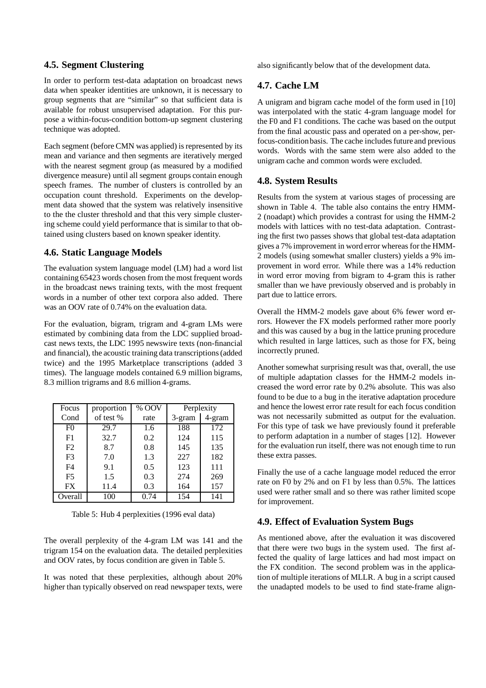# **4.5. Segment Clustering**

In order to perform test-data adaptation on broadcast news data when speaker identities are unknown, it is necessary to group segments that are "similar" so that sufficient data is available for robust unsupervised adaptation. For this purpose a within-focus-condition bottom-up segment clustering technique was adopted.

Each segment (before CMN was applied) is represented by its mean and variance and then segments are iteratively merged with the nearest segment group (as measured by a modified divergence measure) until all segment groups contain enough speech frames. The number of clusters is controlled by an occupation count threshold. Experiments on the development data showed that the system was relatively insensitive to the the cluster threshold and that this very simple clustering scheme could yield performance that is similar to that obtained using clusters based on known speaker identity.

# **4.6. Static Language Models**

The evaluation system language model (LM) had a word list containing 65423 words chosen from the most frequent words in the broadcast news training texts, with the most frequent words in a number of other text corpora also added. There was an OOV rate of 0.74% on the evaluation data.

For the evaluation, bigram, trigram and 4-gram LMs were estimated by combining data from the LDC supplied broadcast news texts, the LDC 1995 newswire texts (non-financial and financial), the acoustic training data transcriptions(added twice) and the 1995 Marketplace transcriptions (added 3 times). The language models contained 6.9 million bigrams, 8.3 million trigrams and 8.6 million 4-grams.

| Focus          | proportion | % OOV | Perplexity |        |
|----------------|------------|-------|------------|--------|
| Cond           | of test %  | rate  | 3-gram     | 4-gram |
| F <sub>0</sub> | 29.7       | 1.6   | 188        | 172    |
| F1             | 32.7       | 0.2   | 124        | 115    |
| F2             | 8.7        | 0.8   | 145        | 135    |
| F <sub>3</sub> | 7.0        | 1.3   | 227        | 182    |
| F <sub>4</sub> | 9.1        | 0.5   | 123        | 111    |
| F <sub>5</sub> | 1.5        | 0.3   | 274        | 269    |
| <b>FX</b>      | 11.4       | 0.3   | 164        | 157    |
| Overall        | 100        | 0.74  | 154        | 141    |

Table 5: Hub 4 perplexities (1996 eval data)

The overall perplexity of the 4-gram LM was 141 and the trigram 154 on the evaluation data. The detailed perplexities and OOV rates, by focus condition are given in Table 5.

It was noted that these perplexities, although about 20% higher than typically observed on read newspaper texts, were also significantly below that of the development data.

# **4.7. Cache LM**

A unigram and bigram cache model of the form used in [10] was interpolated with the static 4-gram language model for the F0 and F1 conditions. The cache was based on the output from the final acoustic pass and operated on a per-show, perfocus-condition basis. The cache includes future and previous words. Words with the same stem were also added to the unigram cache and common words were excluded.

#### **4.8. System Results**

Results from the system at various stages of processing are shown in Table 4. The table also contains the entry HMM-2 (noadapt) which provides a contrast for using the HMM-2 models with lattices with no test-data adaptation. Contrasting the first two passes shows that global test-data adaptation gives a 7% improvement in word error whereas for the HMM-2 models (using somewhat smaller clusters) yields a 9% improvement in word error. While there was a 14% reduction in word error moving from bigram to 4-gram this is rather smaller than we have previously observed and is probably in part due to lattice errors.

Overall the HMM-2 models gave about 6% fewer word errors. However the FX models performed rather more poorly and this was caused by a bug in the lattice pruning procedure which resulted in large lattices, such as those for FX, being incorrectly pruned.

Another somewhat surprising result was that, overall, the use of multiple adaptation classes for the HMM-2 models increased the word error rate by 0.2% absolute. This was also found to be due to a bug in the iterative adaptation procedure and hence the lowest error rate result for each focus condition was not necessarily submitted as output for the evaluation. For this type of task we have previously found it preferable to perform adaptation in a number of stages [12]. However for the evaluation run itself, there was not enough time to run these extra passes.

Finally the use of a cache language model reduced the error rate on F0 by 2% and on F1 by less than 0.5%. The lattices used were rather small and so there was rather limited scope for improvement.

# **4.9. Effect of Evaluation System Bugs**

As mentioned above, after the evaluation it was discovered that there were two bugs in the system used. The first affected the quality of large lattices and had most impact on the FX condition. The second problem was in the application of multiple iterations of MLLR. A bug in a script caused the unadapted models to be used to find state-frame align-